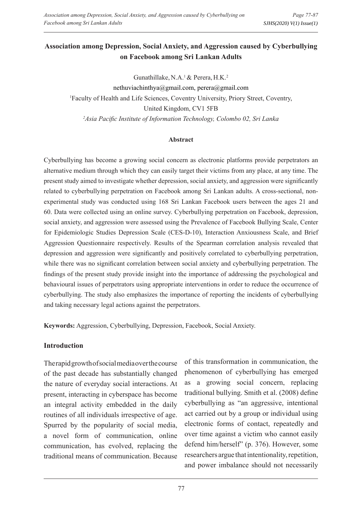## **Association among Depression, Social Anxiety, and Aggression caused by Cyberbullying on Facebook among Sri Lankan Adults**

Gunathillake, N.A.<sup>1</sup> & Perera, H.K.<sup>2</sup> nethuviachinthya@gmail.com, perera@gmail.com 1 Faculty of Health and Life Sciences, Coventry University, Priory Street, Coventry, United Kingdom, CV1 5FB *2 Asia Pacific Institute of Information Technology, Colombo 02, Sri Lanka*

#### **Abstract**

Cyberbullying has become a growing social concern as electronic platforms provide perpetrators an alternative medium through which they can easily target their victims from any place, at any time. The present study aimed to investigate whether depression, social anxiety, and aggression were significantly related to cyberbullying perpetration on Facebook among Sri Lankan adults. A cross-sectional, nonexperimental study was conducted using 168 Sri Lankan Facebook users between the ages 21 and 60. Data were collected using an online survey. Cyberbullying perpetration on Facebook, depression, social anxiety, and aggression were assessed using the Prevalence of Facebook Bullying Scale, Center for Epidemiologic Studies Depression Scale (CES-D-10), Interaction Anxiousness Scale, and Brief Aggression Questionnaire respectively. Results of the Spearman correlation analysis revealed that depression and aggression were significantly and positively correlated to cyberbullying perpetration, while there was no significant correlation between social anxiety and cyberbullying perpetration. The findings of the present study provide insight into the importance of addressing the psychological and behavioural issues of perpetrators using appropriate interventions in order to reduce the occurrence of cyberbullying. The study also emphasizes the importance of reporting the incidents of cyberbullying and taking necessary legal actions against the perpetrators.

**Keywords:** Aggression, Cyberbullying, Depression, Facebook, Social Anxiety.

## **Introduction**

The rapid growth of social media over the course of the past decade has substantially changed the nature of everyday social interactions. At present, interacting in cyberspace has become an integral activity embedded in the daily routines of all individuals irrespective of age. Spurred by the popularity of social media, a novel form of communication, online communication, has evolved, replacing the traditional means of communication. Because

of this transformation in communication, the phenomenon of cyberbullying has emerged as a growing social concern, replacing traditional bullying. Smith et al. (2008) define cyberbullying as "an aggressive, intentional act carried out by a group or individual using electronic forms of contact, repeatedly and over time against a victim who cannot easily defend him/herself" (p. 376). However, some researchers argue that intentionality, repetition, and power imbalance should not necessarily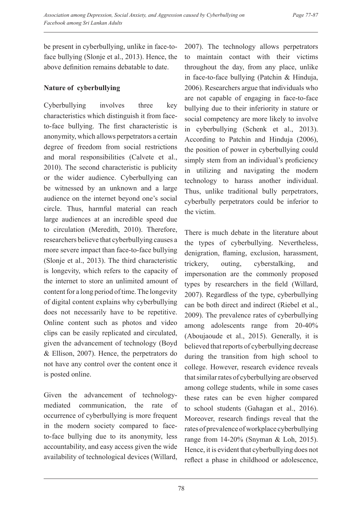be present in cyberbullying, unlike in face-toface bullying (Slonje et al., 2013). Hence, the above definition remains debatable to date.

## **Nature of cyberbullying**

Cyberbullying involves three key characteristics which distinguish it from faceto-face bullying. The first characteristic is anonymity, which allows perpetrators a certain degree of freedom from social restrictions and moral responsibilities (Calvete et al., 2010). The second characteristic is publicity or the wider audience. Cyberbullying can be witnessed by an unknown and a large audience on the internet beyond one's social circle. Thus, harmful material can reach large audiences at an incredible speed due to circulation (Meredith, 2010). Therefore, researchers believe that cyberbullying causes a more severe impact than face-to-face bullying (Slonje et al., 2013). The third characteristic is longevity, which refers to the capacity of the internet to store an unlimited amount of content for a long period of time. The longevity of digital content explains why cyberbullying does not necessarily have to be repetitive. Online content such as photos and video clips can be easily replicated and circulated, given the advancement of technology (Boyd & Ellison, 2007). Hence, the perpetrators do not have any control over the content once it is posted online.

Given the advancement of technologymediated communication, the rate of occurrence of cyberbullying is more frequent in the modern society compared to faceto-face bullying due to its anonymity, less accountability, and easy access given the wide availability of technological devices (Willard,

2007). The technology allows perpetrators to maintain contact with their victims throughout the day, from any place, unlike in face-to-face bullying (Patchin & Hinduja, 2006). Researchers argue that individuals who are not capable of engaging in face-to-face bullying due to their inferiority in stature or social competency are more likely to involve in cyberbullying (Schenk et al., 2013). According to Patchin and Hinduja (2006), the position of power in cyberbullying could simply stem from an individual's proficiency in utilizing and navigating the modern technology to harass another individual. Thus, unlike traditional bully perpetrators, cyberbully perpetrators could be inferior to the victim.

There is much debate in the literature about the types of cyberbullying. Nevertheless, denigration, flaming, exclusion, harassment, trickery, outing, cyberstalking, and impersonation are the commonly proposed types by researchers in the field (Willard, 2007). Regardless of the type, cyberbullying can be both direct and indirect (Riebel et al., 2009). The prevalence rates of cyberbullying among adolescents range from 20-40% (Aboujaoude et al., 2015). Generally, it is believed that reports of cyberbullying decrease during the transition from high school to college. However, research evidence reveals that similar rates of cyberbullying are observed among college students, while in some cases these rates can be even higher compared to school students (Gahagan et al., 2016). Moreover, research findings reveal that the rates of prevalence of workplace cyberbullying range from 14-20% (Snyman & Loh, 2015). Hence, it is evident that cyberbullying does not reflect a phase in childhood or adolescence,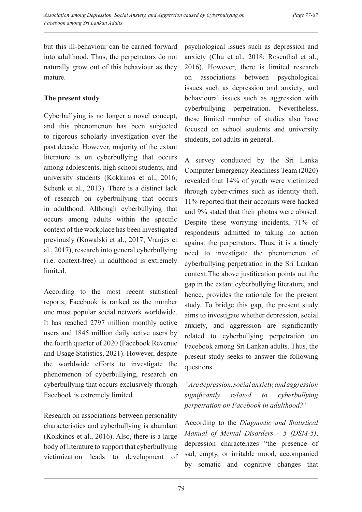but this ill-behaviour can be carried forward into adulthood. Thus, the perpetrators do not naturally grow out of this behaviour as they mature.

## **The present study**

Cyberbullying is no longer a novel concept, and this phenomenon has been subjected to rigorous scholarly investigation over the past decade. However, majority of the extant literature is on cyberbullying that occurs among adolescents, high school students, and university students (Kokkinos et al., 2016; Schenk et al., 2013). There is a distinct lack of research on cyberbullying that occurs in adulthood. Although cyberbullying that occurs among adults within the specific context of the workplace has been investigated previously (Kowalski et al., 2017; Vranjes et al., 2017), research into general cyberbullying (i.e. context-free) in adulthood is extremely limited.

According to the most recent statistical reports, Facebook is ranked as the number one most popular social network worldwide. It has reached 2797 million monthly active users and 1845 million daily active users by the fourth quarter of 2020 (Facebook Revenue and Usage Statistics, 2021). However, despite the worldwide efforts to investigate the phenomenon of cyberbullying, research on cyberbullying that occurs exclusively through Facebook is extremely limited.

Research on associations between personality characteristics and cyberbullying is abundant (Kokkinos et al., 2016). Also, there is a large body of literature to support that cyberbullying victimization leads to development of psychological issues such as depression and anxiety (Chu et al., 2018; Rosenthal et al., 2016). However, there is limited research on associations between psychological issues such as depression and anxiety, and behavioural issues such as aggression with cyberbullying perpetration. Nevertheless, these limited number of studies also have focused on school students and university students, not adults in general.

A survey conducted by the Sri Lanka Computer Emergency Readiness Team (2020) revealed that 14% of youth were victimized through cyber-crimes such as identity theft, 11% reported that their accounts were hacked and 9% stated that their photos were abused. Despite these worrying incidents, 71% of respondents admitted to taking no action against the perpetrators. Thus, it is a timely need to investigate the phenomenon of cyberbullying perpetration in the Sri Lankan context.The above justification points out the gap in the extant cyberbullying literature, and hence, provides the rationale for the present study. To bridge this gap, the present study aims to investigate whether depression, social anxiety, and aggression are significantly related to cyberbullying perpetration on Facebook among Sri Lankan adults. Thus, the present study seeks to answer the following questions.

*"Are depression, social anxiety, and aggression significantly related to cyberbullying perpetration on Facebook in adulthood?"*

According to the *Diagnostic and Statistical Manual of Mental Disorders - 5 (DSM-5)*, depression characterizes "the presence of sad, empty, or irritable mood, accompanied by somatic and cognitive changes that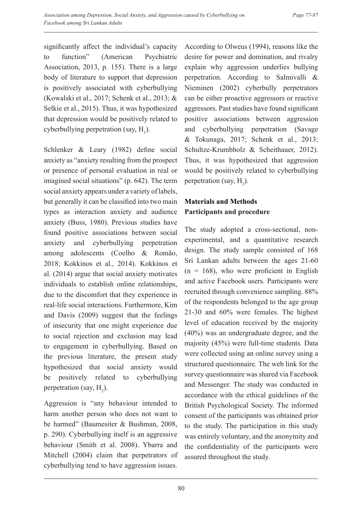significantly affect the individual's capacity to function" (American Psychiatric Association, 2013, p. 155). There is a large body of literature to support that depression is positively associated with cyberbullying (Kowalski et al., 2017; Schenk et al., 2013; & Selkie et al., 2015). Thus, it was hypothesized that depression would be positively related to cyberbullying perpetration (say,  $H_1$ ).

Schlenker & Leary (1982) define social anxiety as "anxiety resulting from the prospect or presence of personal evaluation in real or imagined social situations" (p. 642). The term social anxiety appears under a variety of labels, but generally it can be classified into two main types as interaction anxiety and audience anxiety (Buss, 1980). Previous studies have found positive associations between social anxiety and cyberbullying perpetration among adolescents (Coelho & Romão, 2018; Kokkinos et al., 2014). Kokkinos et al. (2014) argue that social anxiety motivates individuals to establish online relationships, due to the discomfort that they experience in real-life social interactions. Furthermore, Kim and Davis (2009) suggest that the feelings of insecurity that one might experience due to social rejection and exclusion may lead to engagement in cyberbullying. Based on the previous literature, the present study hypothesized that social anxiety would be positively related to cyberbullying perpetration (say,  $H_2$ ).

Aggression is "any behaviour intended to harm another person who does not want to be harmed" (Baumesiter & Bushman, 2008, p. 290). Cyberbullying itself is an aggressive behaviour (Smith et al. 2008). Ybarra and Mitchell (2004) claim that perpetrators of cyberbullying tend to have aggression issues.

According to Olweus (1994), reasons like the desire for power and domination, and rivalry explain why aggression underlies bullying perpetration. According to Salmivalli & Nieminen (2002) cyberbully perpetrators can be either proactive aggressors or reactive aggressors. Past studies have found significant positive associations between aggression and cyberbullying perpetration (Savage & Tokunaga, 2017; Schenk et al., 2013; Schultze-Krumbholz & Scheithauer, 2012). Thus, it was hypothesized that aggression would be positively related to cyberbullying perpetration (say,  $H_3$ ).

# **Materials and Methods Participants and procedure**

The study adopted a cross-sectional, nonexperimental, and a quantitative research design. The study sample consisted of 168 Sri Lankan adults between the ages 21-60  $(n = 168)$ , who were proficient in English and active Facebook users. Participants were recruited through convenience sampling. 88% of the respondents belonged to the age group 21-30 and 60% were females. The highest level of education received by the majority (40%) was an undergraduate degree, and the majority (45%) were full-time students. Data were collected using an online survey using a structured questionnaire. The web link for the survey questionnaire was shared via Facebook and Messenger. The study was conducted in accordance with the ethical guidelines of the British Psychological Society. The informed consent of the participants was obtained prior to the study. The participation in this study was entirely voluntary, and the anonymity and the confidentiality of the participants were assured throughout the study.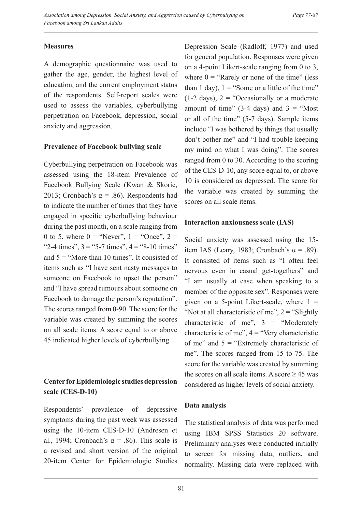## **Measures**

A demographic questionnaire was used to gather the age, gender, the highest level of education, and the current employment status of the respondents. Self-report scales were used to assess the variables, cyberbullying perpetration on Facebook, depression, social anxiety and aggression.

## **Prevalence of Facebook bullying scale**

Cyberbullying perpetration on Facebook was assessed using the 18-item Prevalence of Facebook Bullying Scale (Kwan & Skoric, 2013; Cronbach's  $\alpha$  = .86). Respondents had to indicate the number of times that they have engaged in specific cyberbullying behaviour during the past month, on a scale ranging from 0 to 5, where  $0 =$  "Never",  $1 =$  "Once",  $2 =$ "2-4 times",  $3 = 5 - 7$  times",  $4 = 8 - 10$  times" and  $5 =$  "More than 10 times". It consisted of items such as "I have sent nasty messages to someone on Facebook to upset the person" and "I have spread rumours about someone on Facebook to damage the person's reputation". The scores ranged from 0-90. The score for the variable was created by summing the scores on all scale items. A score equal to or above 45 indicated higher levels of cyberbullying.

# **Center for Epidemiologic studies depression scale (CES-D-10)**

Respondents' prevalence of depressive symptoms during the past week was assessed using the 10-item CES-D-10 (Andresen et al., 1994; Cronbach's  $\alpha$  = .86). This scale is a revised and short version of the original 20-item Center for Epidemiologic Studies Depression Scale (Radloff, 1977) and used for general population. Responses were given on a 4-point Likert-scale ranging from 0 to 3, where  $0 =$  "Rarely or none of the time" (less than 1 day),  $1 =$  "Some or a little of the time"  $(1-2 \text{ days})$ ,  $2 =$  "Occasionally or a moderate" amount of time"  $(3-4 \text{ days})$  and  $3 =$  "Most" or all of the time" (5-7 days). Sample items include "I was bothered by things that usually don't bother me" and "I had trouble keeping my mind on what I was doing". The scores ranged from 0 to 30. According to the scoring of the CES-D-10, any score equal to, or above 10 is considered as depressed. The score for the variable was created by summing the scores on all scale items.

## **Interaction anxiousness scale (IAS)**

Social anxiety was assessed using the 15 item IAS (Leary, 1983; Cronbach's  $\alpha$  = .89). It consisted of items such as "I often feel nervous even in casual get-togethers" and "I am usually at ease when speaking to a member of the opposite sex". Responses were given on a 5-point Likert-scale, where  $1 =$ "Not at all characteristic of me",  $2 =$  "Slightly" characteristic of me",  $3 =$  "Moderately characteristic of me",  $4 =$  "Very characteristic of me" and  $5 =$  "Extremely characteristic of me". The scores ranged from 15 to 75. The score for the variable was created by summing the scores on all scale items. A score  $\geq$  45 was considered as higher levels of social anxiety.

## **Data analysis**

The statistical analysis of data was performed using IBM SPSS Statistics 20 software. Preliminary analyses were conducted initially to screen for missing data, outliers, and normality. Missing data were replaced with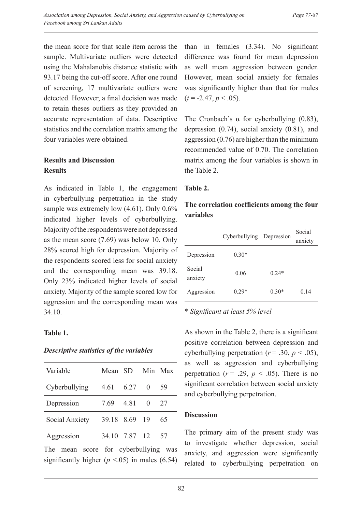the mean score for that scale item across the sample. Multivariate outliers were detected using the Mahalanobis distance statistic with 93.17 being the cut-off score. After one round of screening, 17 multivariate outliers were detected. However, a final decision was made to retain theses outliers as they provided an accurate representation of data. Descriptive statistics and the correlation matrix among the four variables were obtained.

#### **Results and Discussion Results**

As indicated in Table 1, the engagement in cyberbullying perpetration in the study sample was extremely low  $(4.61)$ . Only  $0.6\%$ indicated higher levels of cyberbullying. Majority of the respondents were not depressed as the mean score (7.69) was below 10. Only 28% scored high for depression. Majority of the respondents scored less for social anxiety and the corresponding mean was 39.18. Only 23% indicated higher levels of social anxiety. Majority of the sample scored low for aggression and the corresponding mean was 34.10.

#### **Table 1.**

#### *Descriptive statistics of the variables*

| Variable       | Mean SD       |      |          | Min Max |
|----------------|---------------|------|----------|---------|
| Cyberbullying  | 4.61 6.27     |      | $\Omega$ | 59      |
| Depression     | 7.69          | 4.81 | $\Omega$ | 27      |
| Social Anxiety | 39.18 8.69 19 |      |          | 65      |
| Aggression     | 34.10 7.87 12 |      |          | 57      |
|                |               |      |          |         |

The mean score for cyberbullying was significantly higher  $(p < .05)$  in males (6.54)

than in females (3.34). No significant difference was found for mean depression as well mean aggression between gender. However, mean social anxiety for females was significantly higher than that for males  $(t = -2.47, p < .05)$ .

The Cronbach's  $\alpha$  for cyberbullying (0.83), depression (0.74), social anxiety (0.81), and aggression (0.76) are higher than the minimum recommended value of 0.70. The correlation matrix among the four variables is shown in the Table 2.

#### **Table 2.**

## **The correlation coefficients among the four variables**

|                   | Cyberbullying Depression |         | Social<br>anxiety |
|-------------------|--------------------------|---------|-------------------|
| Depression        | $0.30*$                  |         |                   |
| Social<br>anxiety | 0.06                     | $0.24*$ |                   |
| Aggression        | $0.29*$                  | $0.30*$ | 0.14              |

\* *Significant at least 5% level* 

As shown in the Table 2, there is a significant positive correlation between depression and cyberbullying perpetration ( $r = .30$ ,  $p < .05$ ), as well as aggression and cyberbullying perpetration ( $r = .29$ ,  $p < .05$ ). There is no significant correlation between social anxiety and cyberbullying perpetration.

#### **Discussion**

The primary aim of the present study was to investigate whether depression, social anxiety, and aggression were significantly related to cyberbullying perpetration on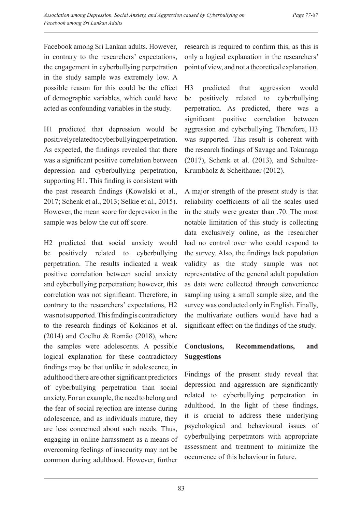Facebook among Sri Lankan adults. However, in contrary to the researchers' expectations, the engagement in cyberbullying perpetration in the study sample was extremely low. A possible reason for this could be the effect of demographic variables, which could have acted as confounding variables in the study.

H1 predicted that depression would be positively related to cyberbullying perpetration. As expected, the findings revealed that there was a significant positive correlation between depression and cyberbullying perpetration, supporting H1. This finding is consistent with the past research findings (Kowalski et al., 2017; Schenk et al., 2013; Selkie et al., 2015). However, the mean score for depression in the sample was below the cut off score.

H2 predicted that social anxiety would be positively related to cyberbullying perpetration. The results indicated a weak positive correlation between social anxiety and cyberbullying perpetration; however, this correlation was not significant. Therefore, in contrary to the researchers' expectations, H2 was not supported. This finding is contradictory to the research findings of Kokkinos et al. (2014) and Coelho & Romão (2018), where the samples were adolescents. A possible logical explanation for these contradictory findings may be that unlike in adolescence, in adulthood there are other significant predictors of cyberbullying perpetration than social anxiety. For an example, the need to belong and the fear of social rejection are intense during adolescence, and as individuals mature, they are less concerned about such needs. Thus, engaging in online harassment as a means of overcoming feelings of insecurity may not be common during adulthood. However, further research is required to confirm this, as this is only a logical explanation in the researchers' point of view, and not a theoretical explanation.

H3 predicted that aggression would be positively related to cyberbullying perpetration. As predicted, there was a significant positive correlation between aggression and cyberbullying. Therefore, H3 was supported. This result is coherent with the research findings of Savage and Tokunaga (2017), Schenk et al. (2013), and Schultze-Krumbholz & Scheithauer (2012).

A major strength of the present study is that reliability coefficients of all the scales used in the study were greater than .70. The most notable limitation of this study is collecting data exclusively online, as the researcher had no control over who could respond to the survey. Also, the findings lack population validity as the study sample was not representative of the general adult population as data were collected through convenience sampling using a small sample size, and the survey was conducted only in English. Finally, the multivariate outliers would have had a significant effect on the findings of the study.

# **Conclusions, Recommendations, and Suggestions**

Findings of the present study reveal that depression and aggression are significantly related to cyberbullying perpetration in adulthood. In the light of these findings, it is crucial to address these underlying psychological and behavioural issues of cyberbullying perpetrators with appropriate assessment and treatment to minimize the occurrence of this behaviour in future.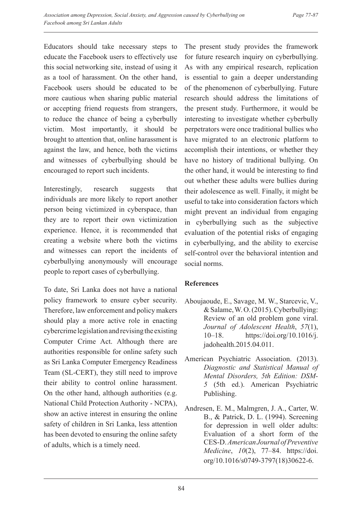Educators should take necessary steps to educate the Facebook users to effectively use this social networking site, instead of using it as a tool of harassment. On the other hand, Facebook users should be educated to be more cautious when sharing public material or accepting friend requests from strangers, to reduce the chance of being a cyberbully victim. Most importantly, it should be brought to attention that, online harassment is against the law, and hence, both the victims and witnesses of cyberbullying should be encouraged to report such incidents.

Interestingly, research suggests that individuals are more likely to report another person being victimized in cyberspace, than they are to report their own victimization experience. Hence, it is recommended that creating a website where both the victims and witnesses can report the incidents of cyberbullying anonymously will encourage people to report cases of cyberbullying.

To date, Sri Lanka does not have a national policy framework to ensure cyber security. Therefore, law enforcement and policy makers should play a more active role in enacting cybercrime legislation and revising the existing Computer Crime Act. Although there are authorities responsible for online safety such as Sri Lanka Computer Emergency Readiness Team (SL-CERT), they still need to improve their ability to control online harassment. On the other hand, although authorities (e.g. National Child Protection Authority - NCPA), show an active interest in ensuring the online safety of children in Sri Lanka, less attention has been devoted to ensuring the online safety of adults, which is a timely need.

The present study provides the framework for future research inquiry on cyberbullying. As with any empirical research, replication is essential to gain a deeper understanding of the phenomenon of cyberbullying. Future research should address the limitations of the present study. Furthermore, it would be interesting to investigate whether cyberbully perpetrators were once traditional bullies who have migrated to an electronic platform to accomplish their intentions, or whether they have no history of traditional bullying. On the other hand, it would be interesting to find out whether these adults were bullies during their adolescence as well. Finally, it might be useful to take into consideration factors which might prevent an individual from engaging in cyberbullying such as the subjective evaluation of the potential risks of engaging in cyberbullying, and the ability to exercise self-control over the behavioral intention and social norms.

## **References**

- Aboujaoude, E., Savage, M. W., Starcevic, V., & Salame, W. O. (2015). Cyberbullying: Review of an old problem gone viral. *Journal of Adolescent Health*, *57*(1), 10–18. https://doi.org/10.1016/j. jadohealth.2015.04.011.
- American Psychiatric Association. (2013). *Diagnostic and Statistical Manual of Mental Disorders, 5th Edition: DSM-5* (5th ed.). American Psychiatric Publishing.
- Andresen, E. M., Malmgren, J. A., Carter, W. B., & Patrick, D. L. (1994). Screening for depression in well older adults: Evaluation of a short form of the CES-D. *American Journal of Preventive Medicine*, *10*(2), 77–84. https://doi. org/10.1016/s0749-3797(18)30622-6.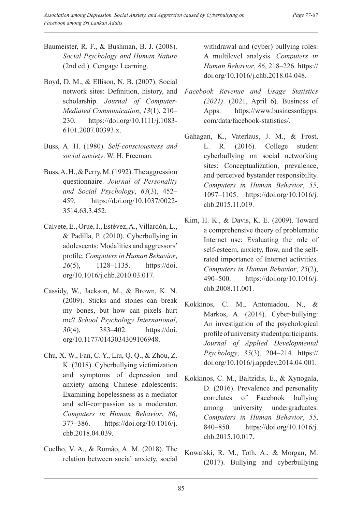- Baumeister, R. F., & Bushman, B. J. (2008). *Social Psychology and Human Nature* (2nd ed.). Cengage Learning.
- Boyd, D. M., & Ellison, N. B. (2007). Social network sites: Definition, history, and scholarship. *Journal of Computer-Mediated Communication*, *13*(1), 210– 230. https://doi.org/10.1111/j.1083- 6101.2007.00393.x.
- Buss, A. H. (1980). *Self-consciousness and social anxiety*. W. H. Freeman.
- Buss, A. H., & Perry, M. (1992). The aggression questionnaire. *Journal of Personality and Social Psychology*, *63*(3), 452– 459. https://doi.org/10.1037/0022- 3514.63.3.452.
- Calvete, E., Orue, I., Estévez, A., Villardón, L., & Padilla, P. (2010). Cyberbullying in adolescents: Modalities and aggressors' profile. *Computers in Human Behavior*, *26*(5), 1128–1135. https://doi. org/10.1016/j.chb.2010.03.017.
- Cassidy, W., Jackson, M., & Brown, K. N. (2009). Sticks and stones can break my bones, but how can pixels hurt me? *School Psychology International*, *30*(4), 383–402. https://doi. org/10.1177/0143034309106948.
- Chu, X. W., Fan, C. Y., Liu, Q. Q., & Zhou, Z. K. (2018). Cyberbullying victimization and symptoms of depression and anxiety among Chinese adolescents: Examining hopelessness as a mediator and self-compassion as a moderator. *Computers in Human Behavior*, *86*, 377–386. https://doi.org/10.1016/j. chb.2018.04.039.
- Coelho, V. A., & Romão, A. M. (2018). The relation between social anxiety, social

withdrawal and (cyber) bullying roles: A multilevel analysis. *Computers in Human Behavior*, *86*, 218–226. https:// doi.org/10.1016/j.chb.2018.04.048.

- *Facebook Revenue and Usage Statistics (2021)*. (2021, April 6). Business of Apps. https://www.businessofapps. com/data/facebook-statistics/.
- Gahagan, K., Vaterlaus, J. M., & Frost, L. R. (2016). College student cyberbullying on social networking sites: Conceptualization, prevalence, and perceived bystander responsibility. *Computers in Human Behavior*, *55*, 1097–1105. https://doi.org/10.1016/j. chb.2015.11.019.
- Kim, H. K., & Davis, K. E. (2009). Toward a comprehensive theory of problematic Internet use: Evaluating the role of self-esteem, anxiety, flow, and the selfrated importance of Internet activities. *Computers in Human Behavior*, *25*(2), 490–500. https://doi.org/10.1016/j. chb.2008.11.001.
- Kokkinos, C. M., Antoniadou, N., & Markos, A. (2014). Cyber-bullying: An investigation of the psychological profile of university student participants. *Journal of Applied Developmental Psychology*, *35*(3), 204–214. https:// doi.org/10.1016/j.appdev.2014.04.001.
- Kokkinos, C. M., Baltzidis, E., & Xynogala, D. (2016). Prevalence and personality correlates of Facebook bullying among university undergraduates. *Computers in Human Behavior*, *55*, 840–850. https://doi.org/10.1016/j. chb.2015.10.017.
- Kowalski, R. M., Toth, A., & Morgan, M. (2017). Bullying and cyberbullying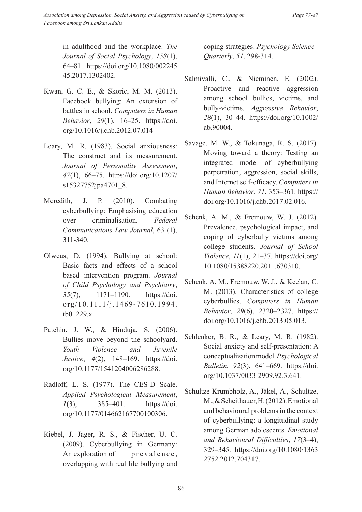in adulthood and the workplace. *The Journal of Social Psychology*, *158*(1), 64–81. https://doi.org/10.1080/002245 45.2017.1302402.

- Kwan, G. C. E., & Skoric, M. M. (2013). Facebook bullying: An extension of battles in school. *Computers in Human Behavior*, *29*(1), 16–25. https://doi. org/10.1016/j.chb.2012.07.014
- Leary, M. R. (1983). Social anxiousness: The construct and its measurement. *Journal of Personality Assessment*, *47*(1), 66–75. https://doi.org/10.1207/ s15327752jpa4701\_8.
- Meredith, J. P. (2010). Combating cyberbullying: Emphasising education over criminalisation. *Federal Communications Law Journal*, 63 (1), 311-340.
- Olweus, D. (1994). Bullying at school: Basic facts and effects of a school based intervention program. *Journal of Child Psychology and Psychiatry*, *35*(7), 1171–1190. https://doi. org/10.1111/j.1469-7610.1994. tb01229.x.
- Patchin, J. W., & Hinduja, S. (2006). Bullies move beyond the schoolyard. *Youth Violence and Juvenile Justice*, *4*(2), 148–169. https://doi. org/10.1177/1541204006286288.
- Radloff, L. S. (1977). The CES-D Scale. *Applied Psychological Measurement*, *1*(3), 385–401. https://doi. org/10.1177/014662167700100306.
- Riebel, J. Jager, R. S., & Fischer, U. C. (2009). Cyberbullying in Germany: An exploration of prevalence, overlapping with real life bullying and

coping strategies. *Psychology Science Quarterly*, *51*, 298-314.

- Salmivalli, C., & Nieminen, E. (2002). Proactive and reactive aggression among school bullies, victims, and bully-victims. *Aggressive Behavior*, *28*(1), 30–44. https://doi.org/10.1002/ ab.90004.
- Savage, M. W., & Tokunaga, R. S. (2017). Moving toward a theory: Testing an integrated model of cyberbullying perpetration, aggression, social skills, and Internet self-efficacy. *Computers in Human Behavior*, *71*, 353–361. https:// doi.org/10.1016/j.chb.2017.02.016.
- Schenk, A. M., & Fremouw, W. J. (2012). Prevalence, psychological impact, and coping of cyberbully victims among college students. *Journal of School Violence*, *11*(1), 21–37. https://doi.org/ 10.1080/15388220.2011.630310.
- Schenk, A. M., Fremouw, W. J., & Keelan, C. M. (2013). Characteristics of college cyberbullies. *Computers in Human Behavior*, *29*(6), 2320–2327. https:// doi.org/10.1016/j.chb.2013.05.013.
- Schlenker, B. R., & Leary, M. R. (1982). Social anxiety and self-presentation: A conceptualization model. *Psychological Bulletin*, *92*(3), 641–669. https://doi. org/10.1037/0033-2909.92.3.641.
- Schultze-Krumbholz, A., Jäkel, A., Schultze, M., & Scheithauer, H. (2012). Emotional and behavioural problems in the context of cyberbullying: a longitudinal study among German adolescents. *Emotional and Behavioural Difficulties*, *17*(3–4), 329–345. https://doi.org/10.1080/1363 2752.2012.704317.